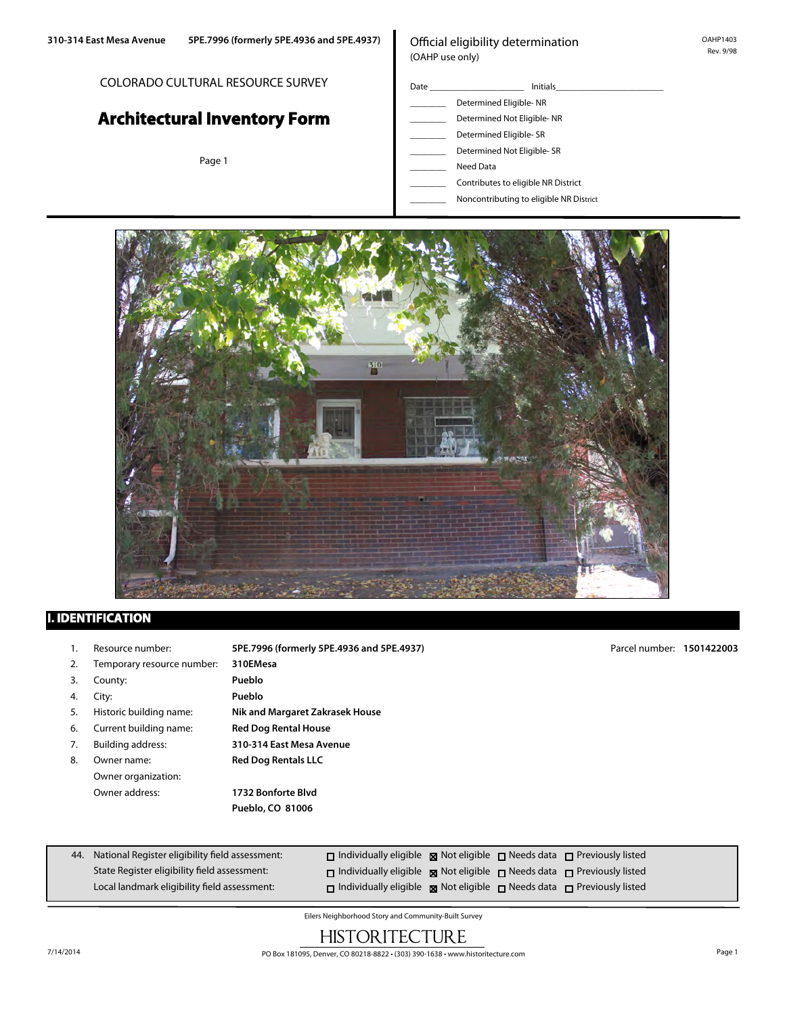### COLORADO CULTURAL RESOURCE SURVEY

# **Architectural Inventory Form**

Page 1

## Official eligibility determination (OAHP use only)

- Date \_\_\_\_\_\_\_\_\_\_\_\_\_\_\_\_\_\_\_\_\_ Initials\_\_\_\_\_\_\_\_\_\_\_\_\_\_\_\_\_\_\_\_\_\_\_\_ Determined Eligible- NR \_\_\_\_\_\_\_\_ Determined Not Eligible- NR Determined Eligible- SR Determined Not Eligible- SR Need Data \_\_\_\_\_\_\_\_ Contributes to eligible NR District
	- \_\_\_\_\_\_\_\_ Noncontributing to eligible NR District



## **I. IDENTIFICATION**

- 
- 2. Temporary resource number: **310EMesa**
- 3. County: **Pueblo**
- 4. City: **Pueblo**
- 
- 6. Current building name: **Red Dog Rental House**
- 
- 8. Owner name: **Red Dog Rentals LLC** Owner organization:

1. Resource number: **5PE.7996 (formerly 5PE.4936 and 5PE.4937)** 5. Historic building name: **Nik and Margaret Zakrasek House** 7. Building address: **310-314 East Mesa Avenue**

Owner address: **1732 Bonforte Blvd Pueblo, CO 81006**

44. National Register eligibility field assessment: State Register eligibility field assessment: Local landmark eligibility field assessment:  $\Box$  Individually eligible  $\boxtimes$  Not eligible  $\Box$  Needs data  $\Box$  Previously listed  $\square$  Individually eligible  $\square$  Not eligible  $\square$  Needs data  $\square$  Previously listed  $\square$  Individually eligible  $\square$  Not eligible  $\square$  Needs data  $\square$  Previously listed

Eilers Neighborhood Story and Community-Built Survey

# HISTORITECTURE

Parcel number: **1501422003**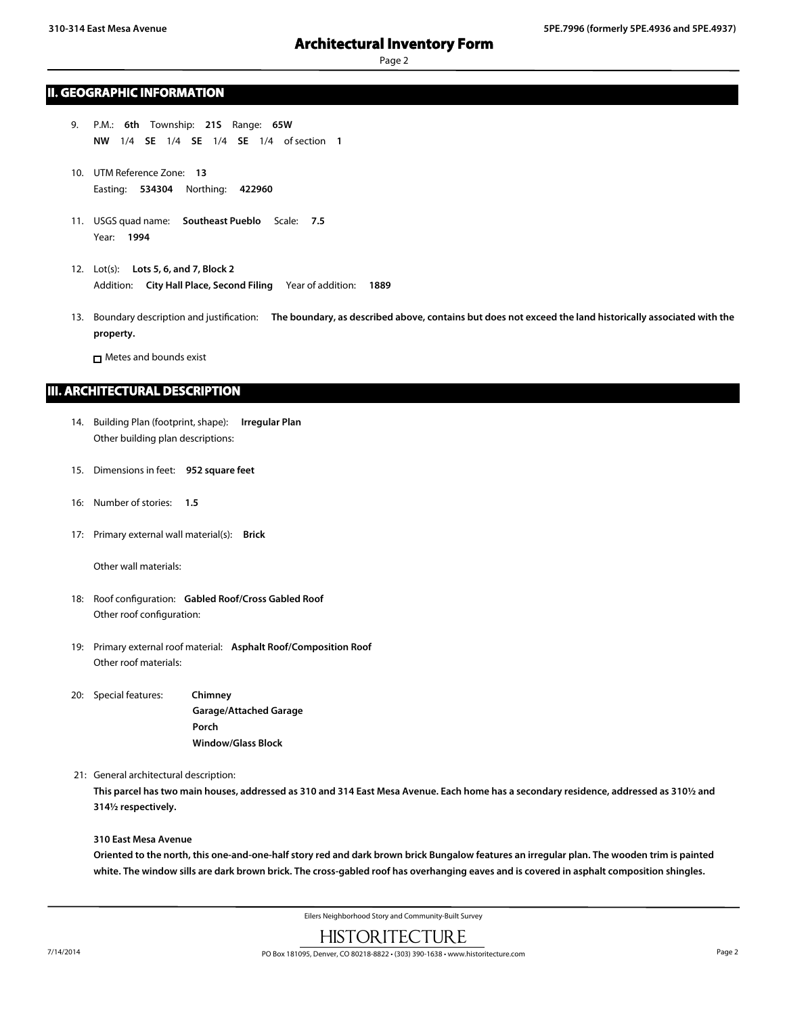## Page 2

### **II. GEOGRAPHIC INFORMATION**

- 9. P.M.: **6th** Township: **21S** Range: **65W NW** 1/4 **SE** 1/4 **SE** 1/4 **SE** 1/4 of section **1**
- 10. UTM Reference Zone: **13** Easting: **534304** Northing: **422960**
- 11. USGS quad name: **Southeast Pueblo** Scale: **7.5** Year: **1994**
- 12. Lot(s): **Lots 5, 6, and 7, Block 2** Addition: **City Hall Place, Second Filing** Year of addition: **1889**
- 13. Boundary description and justification: **The boundary, as described above, contains but does not exceed the land historically associated with the property.**

**n** Metes and bounds exist

### **III. ARCHITECTURAL DESCRIPTION**

- 14. Building Plan (footprint, shape): **Irregular Plan** Other building plan descriptions:
- 15. Dimensions in feet: **952 square feet**
- 16: Number of stories: **1.5**
- 17: Primary external wall material(s): **Brick**

Other wall materials:

- 18: Roof configuration: **Gabled Roof/Cross Gabled Roof** Other roof configuration:
- 19: Primary external roof material: **Asphalt Roof/Composition Roof** Other roof materials:
- 20: Special features: **Chimney Garage/Attached Garage Porch Window/Glass Block**
- 21: General architectural description:

**This parcel has two main houses, addressed as 310 and 314 East Mesa Avenue. Each home has a secondary residence, addressed as 310½ and 314½ respectively.**

#### **310 East Mesa Avenue**

**Oriented to the north, this one-and-one-half story red and dark brown brick Bungalow features an irregular plan. The wooden trim is painted white. The window sills are dark brown brick. The cross-gabled roof has overhanging eaves and is covered in asphalt composition shingles.**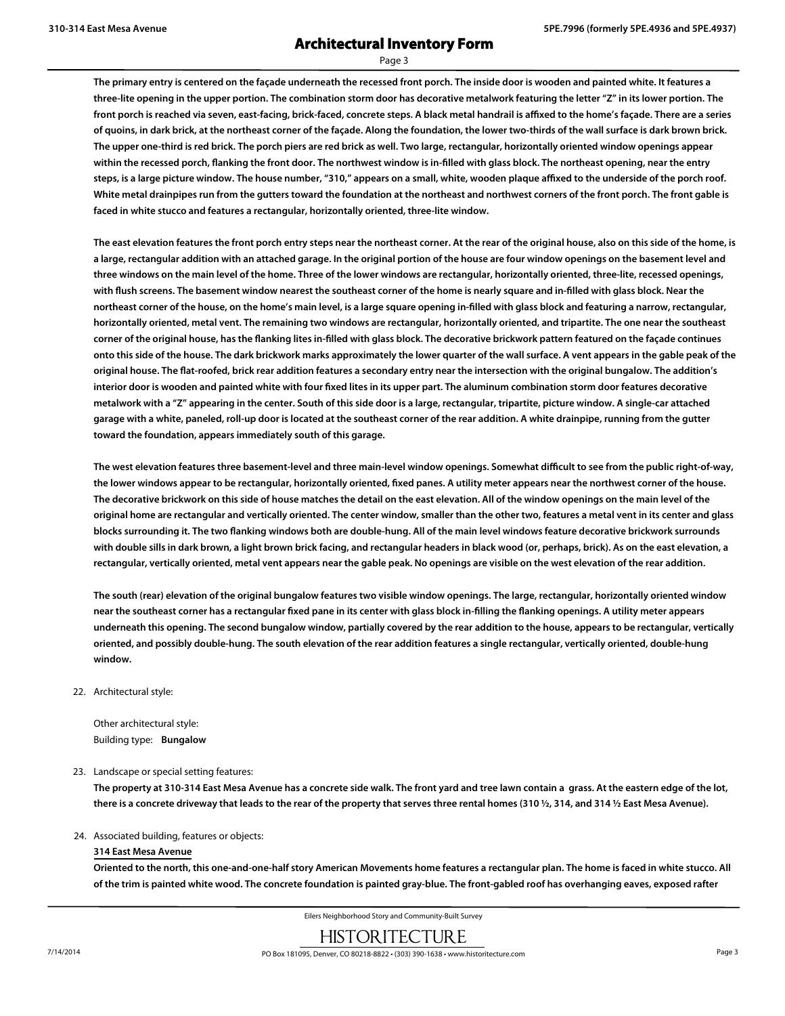Page 3

**The primary entry is centered on the façade underneath the recessed front porch. The inside door is wooden and painted white. It features a three-lite opening in the upper portion. The combination storm door has decorative metalwork featuring the letter "Z" in its lower portion. The front porch is reached via seven, east-facing, brick-faced, concrete steps. A black metal handrail is affixed to the home's façade. There are a series of quoins, in dark brick, at the northeast corner of the façade. Along the foundation, the lower two-thirds of the wall surface is dark brown brick. The upper one-third is red brick. The porch piers are red brick as well. Two large, rectangular, horizontally oriented window openings appear within the recessed porch, flanking the front door. The northwest window is in-filled with glass block. The northeast opening, near the entry steps, is a large picture window. The house number, "310," appears on a small, white, wooden plaque affixed to the underside of the porch roof. White metal drainpipes run from the gutters toward the foundation at the northeast and northwest corners of the front porch. The front gable is faced in white stucco and features a rectangular, horizontally oriented, three-lite window.**

**The east elevation features the front porch entry steps near the northeast corner. At the rear of the original house, also on this side of the home, is a large, rectangular addition with an attached garage. In the original portion of the house are four window openings on the basement level and three windows on the main level of the home. Three of the lower windows are rectangular, horizontally oriented, three-lite, recessed openings, with flush screens. The basement window nearest the southeast corner of the home is nearly square and in-filled with glass block. Near the northeast corner of the house, on the home's main level, is a large square opening in-filled with glass block and featuring a narrow, rectangular, horizontally oriented, metal vent. The remaining two windows are rectangular, horizontally oriented, and tripartite. The one near the southeast corner of the original house, has the flanking lites in-filled with glass block. The decorative brickwork pattern featured on the façade continues onto this side of the house. The dark brickwork marks approximately the lower quarter of the wall surface. A vent appears in the gable peak of the original house. The flat-roofed, brick rear addition features a secondary entry near the intersection with the original bungalow. The addition's interior door is wooden and painted white with four fixed lites in its upper part. The aluminum combination storm door features decorative metalwork with a "Z" appearing in the center. South of this side door is a large, rectangular, tripartite, picture window. A single-car attached garage with a white, paneled, roll-up door is located at the southeast corner of the rear addition. A white drainpipe, running from the gutter toward the foundation, appears immediately south of this garage.**

**The west elevation features three basement-level and three main-level window openings. Somewhat difficult to see from the public right-of-way, the lower windows appear to be rectangular, horizontally oriented, fixed panes. A utility meter appears near the northwest corner of the house. The decorative brickwork on this side of house matches the detail on the east elevation. All of the window openings on the main level of the original home are rectangular and vertically oriented. The center window, smaller than the other two, features a metal vent in its center and glass blocks surrounding it. The two flanking windows both are double-hung. All of the main level windows feature decorative brickwork surrounds with double sills in dark brown, a light brown brick facing, and rectangular headers in black wood (or, perhaps, brick). As on the east elevation, a rectangular, vertically oriented, metal vent appears near the gable peak. No openings are visible on the west elevation of the rear addition.**

**The south (rear) elevation of the original bungalow features two visible window openings. The large, rectangular, horizontally oriented window near the southeast corner has a rectangular fixed pane in its center with glass block in-filling the flanking openings. A utility meter appears underneath this opening. The second bungalow window, partially covered by the rear addition to the house, appears to be rectangular, vertically oriented, and possibly double-hung. The south elevation of the rear addition features a single rectangular, vertically oriented, double-hung window.**

22. Architectural style:

Other architectural style: Building type: **Bungalow**

23. Landscape or special setting features:

**The property at 310-314 East Mesa Avenue has a concrete side walk. The front yard and tree lawn contain a grass. At the eastern edge of the lot, there is a concrete driveway that leads to the rear of the property that serves three rental homes (310 ½, 314, and 314 ½ East Mesa Avenue).**

#### 24. Associated building, features or objects:

#### **314 East Mesa Avenue**

**Oriented to the north, this one-and-one-half story American Movements home features a rectangular plan. The home is faced in white stucco. All of the trim is painted white wood. The concrete foundation is painted gray-blue. The front-gabled roof has overhanging eaves, exposed rafter**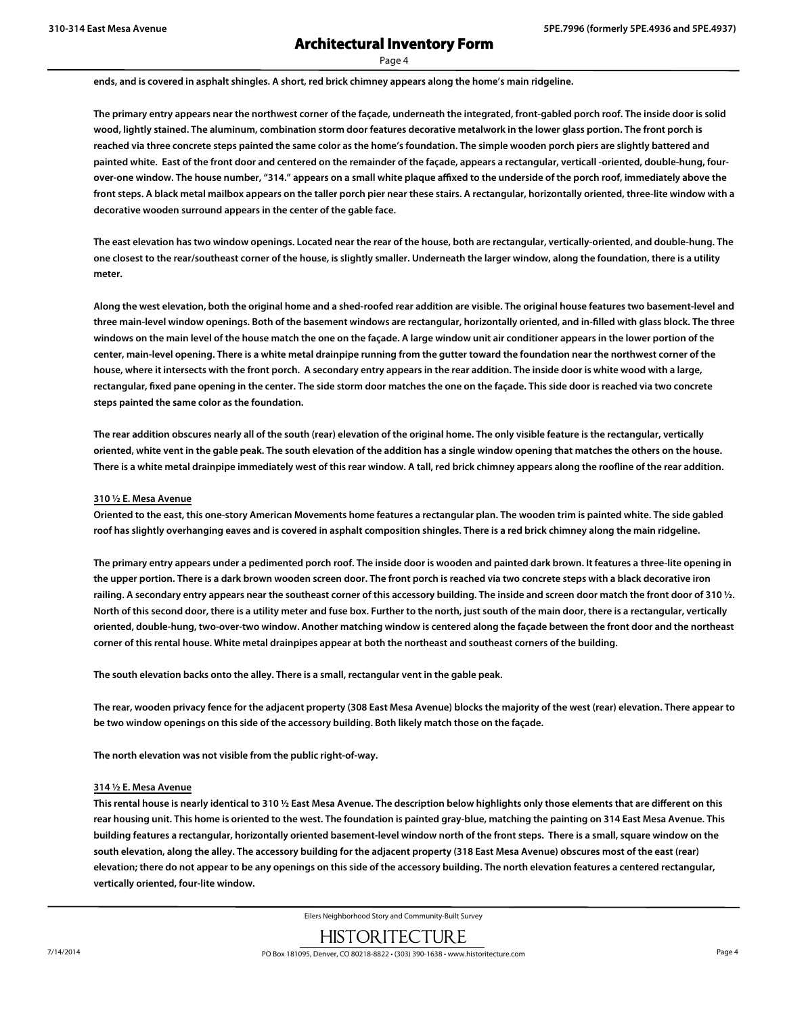Page 4

**ends, and is covered in asphalt shingles. A short, red brick chimney appears along the home's main ridgeline.**

**The primary entry appears near the northwest corner of the façade, underneath the integrated, front-gabled porch roof. The inside door is solid wood, lightly stained. The aluminum, combination storm door features decorative metalwork in the lower glass portion. The front porch is reached via three concrete steps painted the same color as the home's foundation. The simple wooden porch piers are slightly battered and painted white. East of the front door and centered on the remainder of the façade, appears a rectangular, verticall -oriented, double-hung, fourover-one window. The house number, "314." appears on a small white plaque affixed to the underside of the porch roof, immediately above the front steps. A black metal mailbox appears on the taller porch pier near these stairs. A rectangular, horizontally oriented, three-lite window with a decorative wooden surround appears in the center of the gable face.**

**The east elevation has two window openings. Located near the rear of the house, both are rectangular, vertically-oriented, and double-hung. The one closest to the rear/southeast corner of the house, is slightly smaller. Underneath the larger window, along the foundation, there is a utility meter.**

**Along the west elevation, both the original home and a shed-roofed rear addition are visible. The original house features two basement-level and three main-level window openings. Both of the basement windows are rectangular, horizontally oriented, and in-filled with glass block. The three windows on the main level of the house match the one on the façade. A large window unit air conditioner appears in the lower portion of the center, main-level opening. There is a white metal drainpipe running from the gutter toward the foundation near the northwest corner of the house, where it intersects with the front porch. A secondary entry appears in the rear addition. The inside door is white wood with a large, rectangular, fixed pane opening in the center. The side storm door matches the one on the façade. This side door is reached via two concrete steps painted the same color as the foundation.**

**The rear addition obscures nearly all of the south (rear) elevation of the original home. The only visible feature is the rectangular, vertically oriented, white vent in the gable peak. The south elevation of the addition has a single window opening that matches the others on the house. There is a white metal drainpipe immediately west of this rear window. A tall, red brick chimney appears along the roofline of the rear addition.**

#### **310 ½ E. Mesa Avenue**

**Oriented to the east, this one-story American Movements home features a rectangular plan. The wooden trim is painted white. The side gabled roof has slightly overhanging eaves and is covered in asphalt composition shingles. There is a red brick chimney along the main ridgeline.**

**The primary entry appears under a pedimented porch roof. The inside door is wooden and painted dark brown. It features a three-lite opening in the upper portion. There is a dark brown wooden screen door. The front porch is reached via two concrete steps with a black decorative iron railing. A secondary entry appears near the southeast corner of this accessory building. The inside and screen door match the front door of 310 ½. North of this second door, there is a utility meter and fuse box. Further to the north, just south of the main door, there is a rectangular, vertically oriented, double-hung, two-over-two window. Another matching window is centered along the façade between the front door and the northeast corner of this rental house. White metal drainpipes appear at both the northeast and southeast corners of the building.**

**The south elevation backs onto the alley. There is a small, rectangular vent in the gable peak.**

**The rear, wooden privacy fence for the adjacent property (308 East Mesa Avenue) blocks the majority of the west (rear) elevation. There appear to be two window openings on this side of the accessory building. Both likely match those on the façade.**

**The north elevation was not visible from the public right-of-way.**

#### **314 ½ E. Mesa Avenue**

**This rental house is nearly identical to 310 ½ East Mesa Avenue. The description below highlights only those elements that are different on this rear housing unit. This home is oriented to the west. The foundation is painted gray-blue, matching the painting on 314 East Mesa Avenue. This building features a rectangular, horizontally oriented basement-level window north of the front steps. There is a small, square window on the south elevation, along the alley. The accessory building for the adjacent property (318 East Mesa Avenue) obscures most of the east (rear) elevation; there do not appear to be any openings on this side of the accessory building. The north elevation features a centered rectangular, vertically oriented, four-lite window.**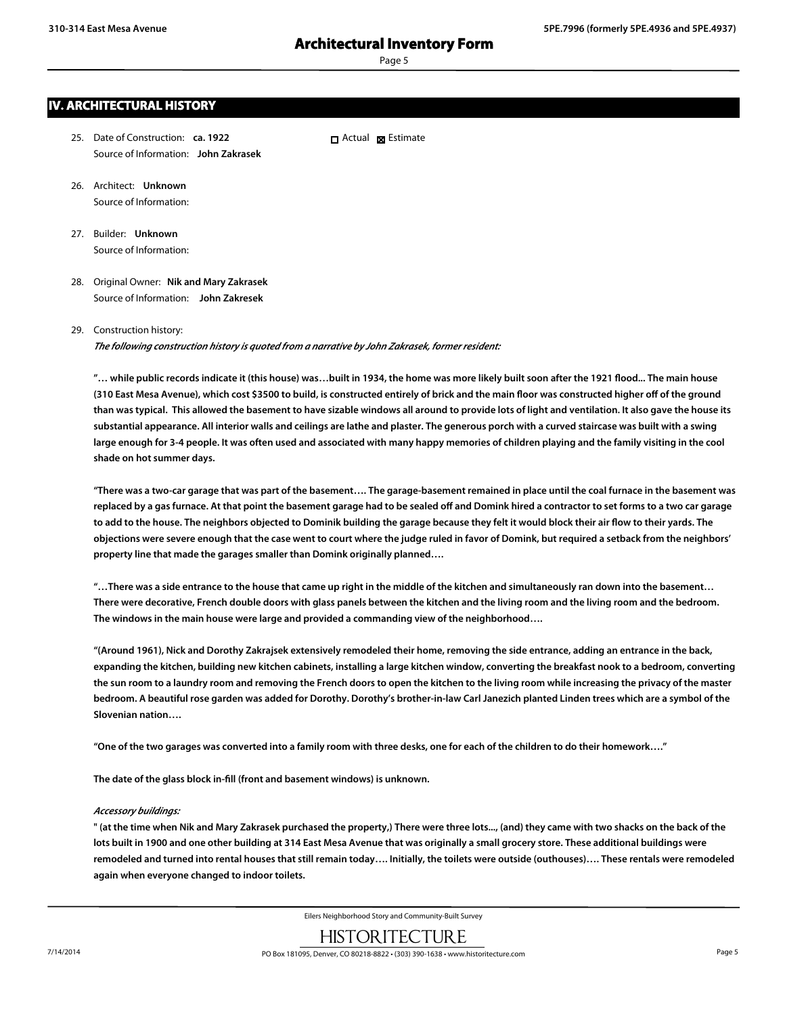Page 5

# **IV. ARCHITECTURAL HISTORY**

25. Date of Construction: **ca. 1922** Source of Information: **John Zakrasek**  $\Box$  Actual  $\boxtimes$  Estimate

- 26. Architect: **Unknown** Source of Information:
- 27. Builder: **Unknown** Source of Information:
- 28. Original Owner: **Nik and Mary Zakrasek** Source of Information: **John Zakresek**

#### 29. Construction history:

*The following construction history is quoted from a narrative by John Zakrasek, former resident:*

**"… while public records indicate it (this house) was…built in 1934, the home was more likely built soon after the 1921 flood... The main house (310 East Mesa Avenue), which cost \$3500 to build, is constructed entirely of brick and the main floor was constructed higher off of the ground than was typical. This allowed the basement to have sizable windows all around to provide lots of light and ventilation. It also gave the house its substantial appearance. All interior walls and ceilings are lathe and plaster. The generous porch with a curved staircase was built with a swing large enough for 3-4 people. It was often used and associated with many happy memories of children playing and the family visiting in the cool shade on hot summer days.**

**"There was a two-car garage that was part of the basement…. The garage-basement remained in place until the coal furnace in the basement was replaced by a gas furnace. At that point the basement garage had to be sealed off and Domink hired a contractor to set forms to a two car garage to add to the house. The neighbors objected to Dominik building the garage because they felt it would block their air flow to their yards. The objections were severe enough that the case went to court where the judge ruled in favor of Domink, but required a setback from the neighbors' property line that made the garages smaller than Domink originally planned….**

**"…There was a side entrance to the house that came up right in the middle of the kitchen and simultaneously ran down into the basement… There were decorative, French double doors with glass panels between the kitchen and the living room and the living room and the bedroom. The windows in the main house were large and provided a commanding view of the neighborhood….**

**"(Around 1961), Nick and Dorothy Zakrajsek extensively remodeled their home, removing the side entrance, adding an entrance in the back, expanding the kitchen, building new kitchen cabinets, installing a large kitchen window, converting the breakfast nook to a bedroom, converting the sun room to a laundry room and removing the French doors to open the kitchen to the living room while increasing the privacy of the master bedroom. A beautiful rose garden was added for Dorothy. Dorothy's brother-in-law Carl Janezich planted Linden trees which are a symbol of the Slovenian nation….**

**"One of the two garages was converted into a family room with three desks, one for each of the children to do their homework…."**

**The date of the glass block in-fill (front and basement windows) is unknown.**

#### *Accessory buildings:*

**" (at the time when Nik and Mary Zakrasek purchased the property,) There were three lots..., (and) they came with two shacks on the back of the lots built in 1900 and one other building at 314 East Mesa Avenue that was originally a small grocery store. These additional buildings were remodeled and turned into rental houses that still remain today…. Initially, the toilets were outside (outhouses)…. These rentals were remodeled again when everyone changed to indoor toilets.**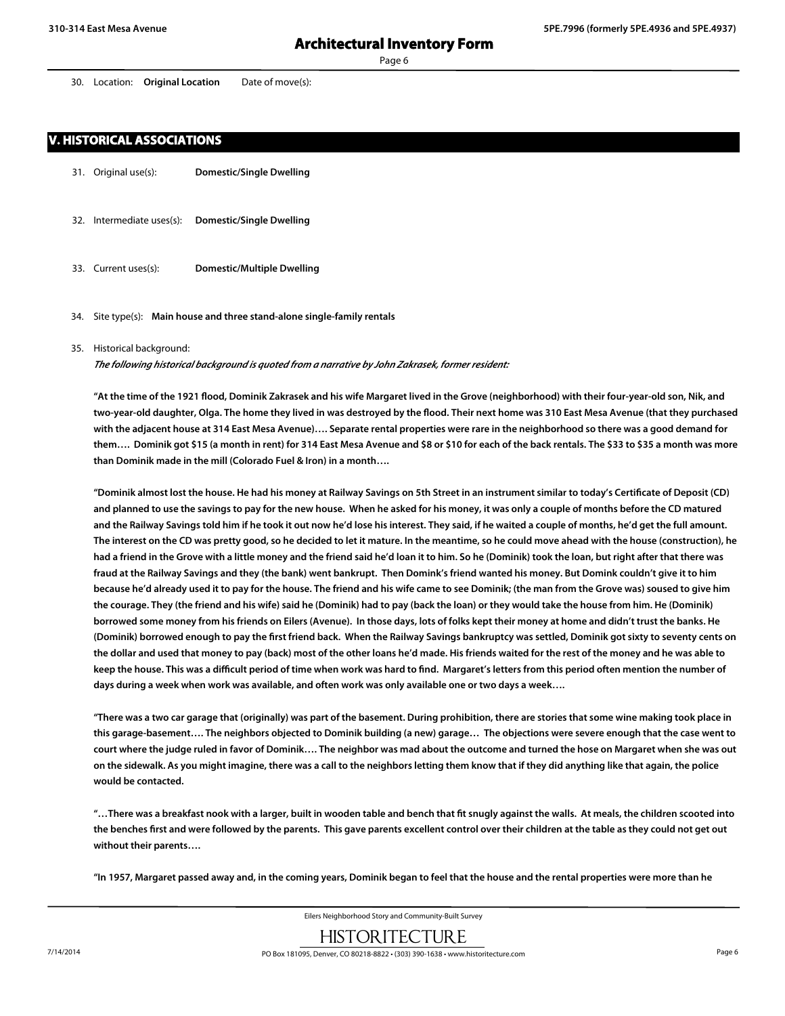30. Location: **Original Location** Date of move(s):

### **V. HISTORICAL ASSOCIATIONS**

- 31. Original use(s): **Domestic/Single Dwelling**
- 32. Intermediate uses(s): **Domestic/Single Dwelling**
- 33. Current uses(s): **Domestic/Multiple Dwelling**
- 34. Site type(s): **Main house and three stand-alone single-family rentals**

#### 35. Historical background:

*The following historical background is quoted from a narrative by John Zakrasek, former resident:*

**"At the time of the 1921 flood, Dominik Zakrasek and his wife Margaret lived in the Grove (neighborhood) with their four-year-old son, Nik, and two-year-old daughter, Olga. The home they lived in was destroyed by the flood. Their next home was 310 East Mesa Avenue (that they purchased with the adjacent house at 314 East Mesa Avenue)…. Separate rental properties were rare in the neighborhood so there was a good demand for them…. Dominik got \$15 (a month in rent) for 314 East Mesa Avenue and \$8 or \$10 for each of the back rentals. The \$33 to \$35 a month was more than Dominik made in the mill (Colorado Fuel & Iron) in a month….**

**"Dominik almost lost the house. He had his money at Railway Savings on 5th Street in an instrument similar to today's Certificate of Deposit (CD) and planned to use the savings to pay for the new house. When he asked for his money, it was only a couple of months before the CD matured and the Railway Savings told him if he took it out now he'd lose his interest. They said, if he waited a couple of months, he'd get the full amount. The interest on the CD was pretty good, so he decided to let it mature. In the meantime, so he could move ahead with the house (construction), he had a friend in the Grove with a little money and the friend said he'd loan it to him. So he (Dominik) took the loan, but right after that there was fraud at the Railway Savings and they (the bank) went bankrupt. Then Domink's friend wanted his money. But Domink couldn't give it to him because he'd already used it to pay for the house. The friend and his wife came to see Dominik; (the man from the Grove was) soused to give him the courage. They (the friend and his wife) said he (Dominik) had to pay (back the loan) or they would take the house from him. He (Dominik) borrowed some money from his friends on Eilers (Avenue). In those days, lots of folks kept their money at home and didn't trust the banks. He (Dominik) borrowed enough to pay the first friend back. When the Railway Savings bankruptcy was settled, Dominik got sixty to seventy cents on the dollar and used that money to pay (back) most of the other loans he'd made. His friends waited for the rest of the money and he was able to keep the house. This was a difficult period of time when work was hard to find. Margaret's letters from this period often mention the number of days during a week when work was available, and often work was only available one or two days a week….**

**"There was a two car garage that (originally) was part of the basement. During prohibition, there are stories that some wine making took place in this garage-basement…. The neighbors objected to Dominik building (a new) garage… The objections were severe enough that the case went to court where the judge ruled in favor of Dominik…. The neighbor was mad about the outcome and turned the hose on Margaret when she was out on the sidewalk. As you might imagine, there was a call to the neighbors letting them know that if they did anything like that again, the police would be contacted.**

**"…There was a breakfast nook with a larger, built in wooden table and bench that fit snugly against the walls. At meals, the children scooted into the benches first and were followed by the parents. This gave parents excellent control over their children at the table as they could not get out without their parents….**

**"In 1957, Margaret passed away and, in the coming years, Dominik began to feel that the house and the rental properties were more than he**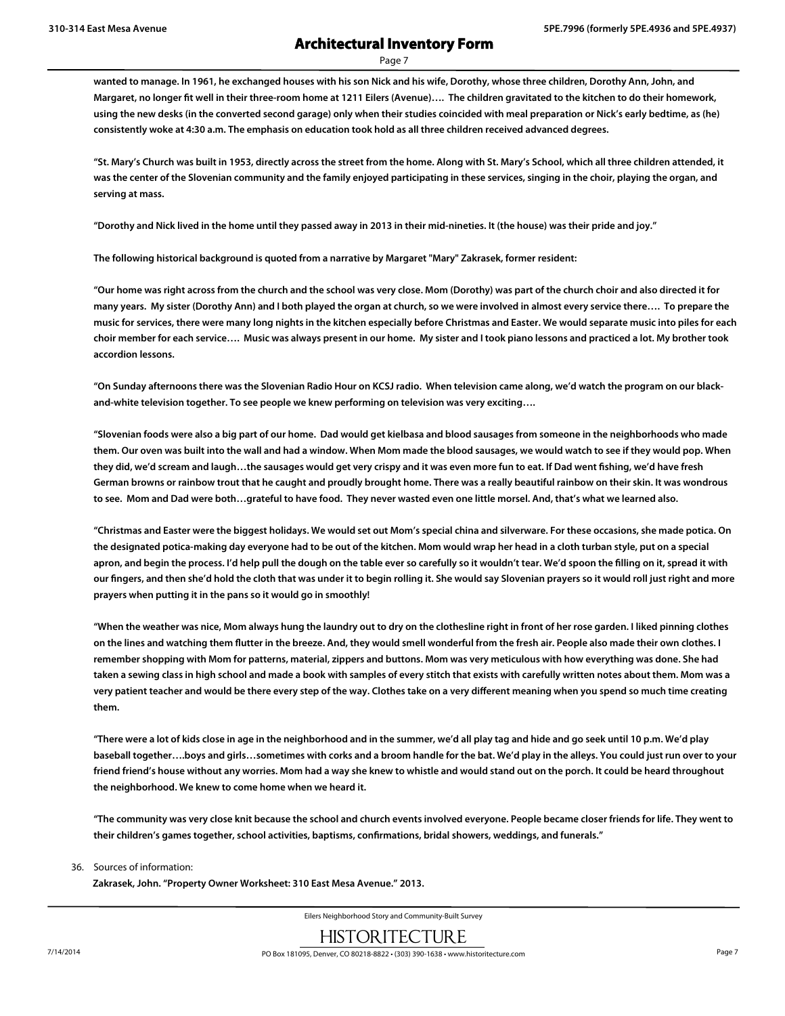**wanted to manage. In 1961, he exchanged houses with his son Nick and his wife, Dorothy, whose three children, Dorothy Ann, John, and Margaret, no longer fit well in their three-room home at 1211 Eilers (Avenue)…. The children gravitated to the kitchen to do their homework, using the new desks (in the converted second garage) only when their studies coincided with meal preparation or Nick's early bedtime, as (he) consistently woke at 4:30 a.m. The emphasis on education took hold as all three children received advanced degrees.**

**"St. Mary's Church was built in 1953, directly across the street from the home. Along with St. Mary's School, which all three children attended, it was the center of the Slovenian community and the family enjoyed participating in these services, singing in the choir, playing the organ, and serving at mass.**

**"Dorothy and Nick lived in the home until they passed away in 2013 in their mid-nineties. It (the house) was their pride and joy."**

**The following historical background is quoted from a narrative by Margaret "Mary" Zakrasek, former resident:**

**"Our home was right across from the church and the school was very close. Mom (Dorothy) was part of the church choir and also directed it for many years. My sister (Dorothy Ann) and I both played the organ at church, so we were involved in almost every service there…. To prepare the music for services, there were many long nights in the kitchen especially before Christmas and Easter. We would separate music into piles for each choir member for each service…. Music was always present in our home. My sister and I took piano lessons and practiced a lot. My brother took accordion lessons.**

**"On Sunday afternoons there was the Slovenian Radio Hour on KCSJ radio. When television came along, we'd watch the program on our blackand-white television together. To see people we knew performing on television was very exciting….**

**"Slovenian foods were also a big part of our home. Dad would get kielbasa and blood sausages from someone in the neighborhoods who made them. Our oven was built into the wall and had a window. When Mom made the blood sausages, we would watch to see if they would pop. When they did, we'd scream and laugh…the sausages would get very crispy and it was even more fun to eat. If Dad went fishing, we'd have fresh German browns or rainbow trout that he caught and proudly brought home. There was a really beautiful rainbow on their skin. It was wondrous to see. Mom and Dad were both…grateful to have food. They never wasted even one little morsel. And, that's what we learned also.**

**"Christmas and Easter were the biggest holidays. We would set out Mom's special china and silverware. For these occasions, she made potica. On the designated potica-making day everyone had to be out of the kitchen. Mom would wrap her head in a cloth turban style, put on a special apron, and begin the process. I'd help pull the dough on the table ever so carefully so it wouldn't tear. We'd spoon the filling on it, spread it with our fingers, and then she'd hold the cloth that was under it to begin rolling it. She would say Slovenian prayers so it would roll just right and more prayers when putting it in the pans so it would go in smoothly!**

**"When the weather was nice, Mom always hung the laundry out to dry on the clothesline right in front of her rose garden. I liked pinning clothes on the lines and watching them flutter in the breeze. And, they would smell wonderful from the fresh air. People also made their own clothes. I remember shopping with Mom for patterns, material, zippers and buttons. Mom was very meticulous with how everything was done. She had taken a sewing class in high school and made a book with samples of every stitch that exists with carefully written notes about them. Mom was a very patient teacher and would be there every step of the way. Clothes take on a very different meaning when you spend so much time creating them.**

**"There were a lot of kids close in age in the neighborhood and in the summer, we'd all play tag and hide and go seek until 10 p.m. We'd play baseball together….boys and girls…sometimes with corks and a broom handle for the bat. We'd play in the alleys. You could just run over to your friend friend's house without any worries. Mom had a way she knew to whistle and would stand out on the porch. It could be heard throughout the neighborhood. We knew to come home when we heard it.**

**"The community was very close knit because the school and church events involved everyone. People became closer friends for life. They went to their children's games together, school activities, baptisms, confirmations, bridal showers, weddings, and funerals."**

#### 36. Sources of information:

**Zakrasek, John. "Property Owner Worksheet: 310 East Mesa Avenue." 2013.**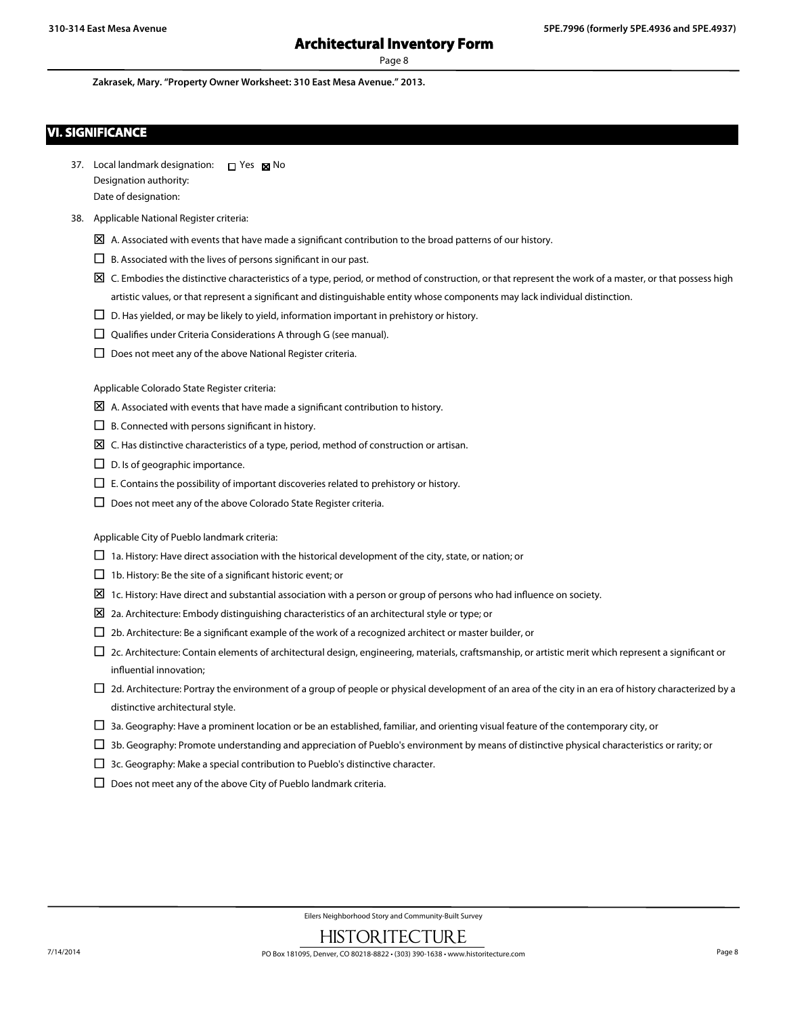**Zakrasek, Mary. "Property Owner Worksheet: 310 East Mesa Avenue." 2013.**

## **VI. SIGNIFICANCE**

| 37. Local landmark designation: | П Yes ⊠ No |  |
|---------------------------------|------------|--|
| Designation authority:          |            |  |
| Date of designation:            |            |  |

#### 38. Applicable National Register criteria:

- $\boxtimes$  A. Associated with events that have made a significant contribution to the broad patterns of our history.
- $\square$  B. Associated with the lives of persons significant in our past.
- $\boxtimes$  C. Embodies the distinctive characteristics of a type, period, or method of construction, or that represent the work of a master, or that possess high artistic values, or that represent a significant and distinguishable entity whose components may lack individual distinction.
- $\square$  D. Has yielded, or may be likely to yield, information important in prehistory or history.
- $\square$  Qualifies under Criteria Considerations A through G (see manual).
- $\square$  Does not meet any of the above National Register criteria.

Applicable Colorado State Register criteria:

- $\boxtimes$  A. Associated with events that have made a significant contribution to history.
- $\Box$  B. Connected with persons significant in history.
- $\boxtimes$  C. Has distinctive characteristics of a type, period, method of construction or artisan.
- $\square$  D. Is of geographic importance.
- $\Box$  E. Contains the possibility of important discoveries related to prehistory or history.
- $\Box$  Does not meet any of the above Colorado State Register criteria.

Applicable City of Pueblo landmark criteria:

- $\square$  1a. History: Have direct association with the historical development of the city, state, or nation; or
- $\Box$  1b. History: Be the site of a significant historic event; or
- $\Sigma$  1c. History: Have direct and substantial association with a person or group of persons who had influence on society.
- $\boxtimes$  2a. Architecture: Embody distinguishing characteristics of an architectural style or type; or
- $\square$  2b. Architecture: Be a significant example of the work of a recognized architect or master builder, or
- $\square$  2c. Architecture: Contain elements of architectural design, engineering, materials, craftsmanship, or artistic merit which represent a significant or influential innovation;
- $\Box$  2d. Architecture: Portray the environment of a group of people or physical development of an area of the city in an era of history characterized by a distinctive architectural style.
- $\Box$  3a. Geography: Have a prominent location or be an established, familiar, and orienting visual feature of the contemporary city, or
- $\Box$  3b. Geography: Promote understanding and appreciation of Pueblo's environment by means of distinctive physical characteristics or rarity; or
- $\Box$  3c. Geography: Make a special contribution to Pueblo's distinctive character.
- $\square$  Does not meet any of the above City of Pueblo landmark criteria.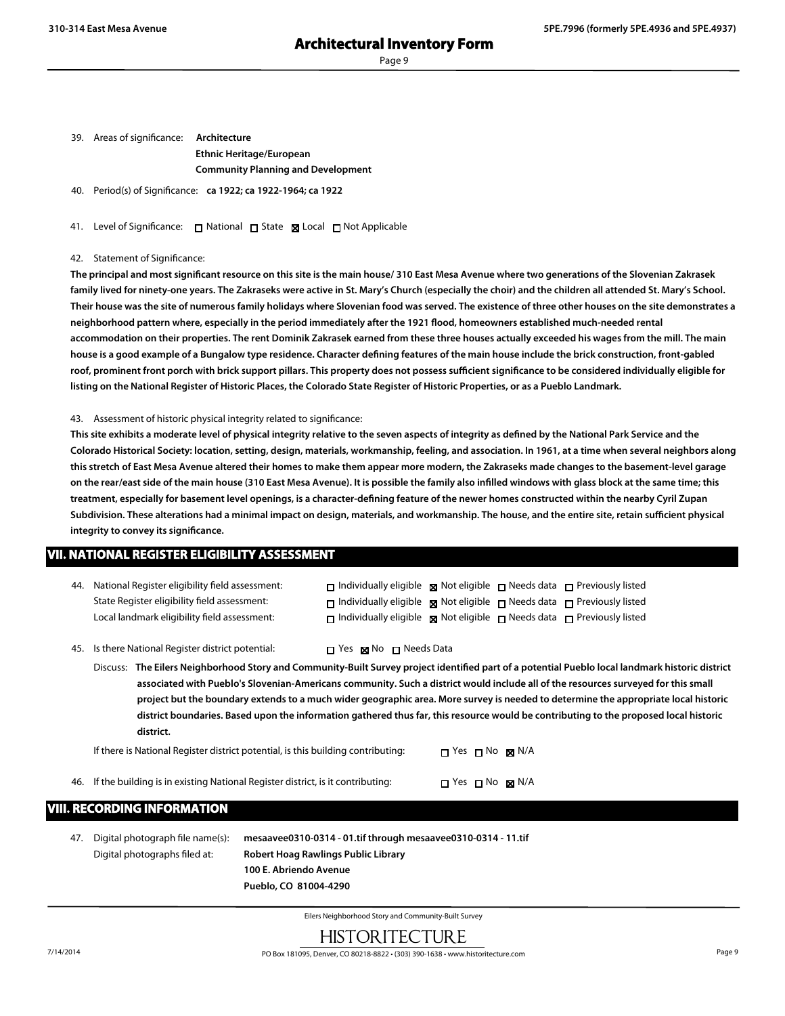Page 9

39. Areas of significance: **Architecture Ethnic Heritage/European Community Planning and Development**

40. Period(s) of Significance: **ca 1922; ca 1922-1964; ca 1922**

41. Level of Significance: □ National □ State ■ Local □ Not Applicable

42. Statement of Significance:

**The principal and most significant resource on this site is the main house/ 310 East Mesa Avenue where two generations of the Slovenian Zakrasek family lived for ninety-one years. The Zakraseks were active in St. Mary's Church (especially the choir) and the children all attended St. Mary's School. Their house was the site of numerous family holidays where Slovenian food was served. The existence of three other houses on the site demonstrates a neighborhood pattern where, especially in the period immediately after the 1921 flood, homeowners established much-needed rental accommodation on their properties. The rent Dominik Zakrasek earned from these three houses actually exceeded his wages from the mill. The main house is a good example of a Bungalow type residence. Character defining features of the main house include the brick construction, front-gabled roof, prominent front porch with brick support pillars. This property does not possess sufficient significance to be considered individually eligible for listing on the National Register of Historic Places, the Colorado State Register of Historic Properties, or as a Pueblo Landmark.**

43. Assessment of historic physical integrity related to significance:

**This site exhibits a moderate level of physical integrity relative to the seven aspects of integrity as defined by the National Park Service and the Colorado Historical Society: location, setting, design, materials, workmanship, feeling, and association. In 1961, at a time when several neighbors along this stretch of East Mesa Avenue altered their homes to make them appear more modern, the Zakraseks made changes to the basement-level garage on the rear/east side of the main house (310 East Mesa Avenue). It is possible the family also infilled windows with glass block at the same time; this treatment, especially for basement level openings, is a character-defining feature of the newer homes constructed within the nearby Cyril Zupan Subdivision. These alterations had a minimal impact on design, materials, and workmanship. The house, and the entire site, retain sufficient physical integrity to convey its significance.**

### **VII. NATIONAL REGISTER ELIGIBILITY ASSESSMENT**

| 44. National Register eligibility field assessment: | $\Box$ Individually eligible $\boxtimes$ Not eligible $\Box$ Needs data $\Box$ Previously listed |  |  |
|-----------------------------------------------------|--------------------------------------------------------------------------------------------------|--|--|
| State Register eligibility field assessment:        | $\Box$ Individually eligible $\boxtimes$ Not eligible $\Box$ Needs data $\Box$ Previously listed |  |  |
| Local landmark eligibility field assessment:        | $\Box$ Individually eligible $\boxtimes$ Not eligible $\Box$ Needs data $\Box$ Previously listed |  |  |

45. Is there National Register district potential:  $\Box$  Yes  $\boxtimes$  No  $\Box$  Needs Data

Discuss: **The Eilers Neighborhood Story and Community-Built Survey project identified part of a potential Pueblo local landmark historic district associated with Pueblo's Slovenian-Americans community. Such a district would include all of the resources surveyed for this small project but the boundary extends to a much wider geographic area. More survey is needed to determine the appropriate local historic district boundaries. Based upon the information gathered thus far, this resource would be contributing to the proposed local historic district.**

| If there is National Register district potential, is this building contributing:   | $\Box$ Yes $\Box$ No $\boxtimes$ N/A |  |
|------------------------------------------------------------------------------------|--------------------------------------|--|
| 46. If the building is in existing National Register district, is it contributing: | $\Box$ Yes $\Box$ No $\boxtimes$ N/A |  |

### **VIII. RECORDING INFORMATION**

47. Digital photograph file name(s): **mesaavee0310-0314 - 01.tif through mesaavee0310-0314 - 11.tif** Digital photographs filed at: **Robert Hoag Rawlings Public Library 100 E. Abriendo Avenue Pueblo, CO 81004-4290**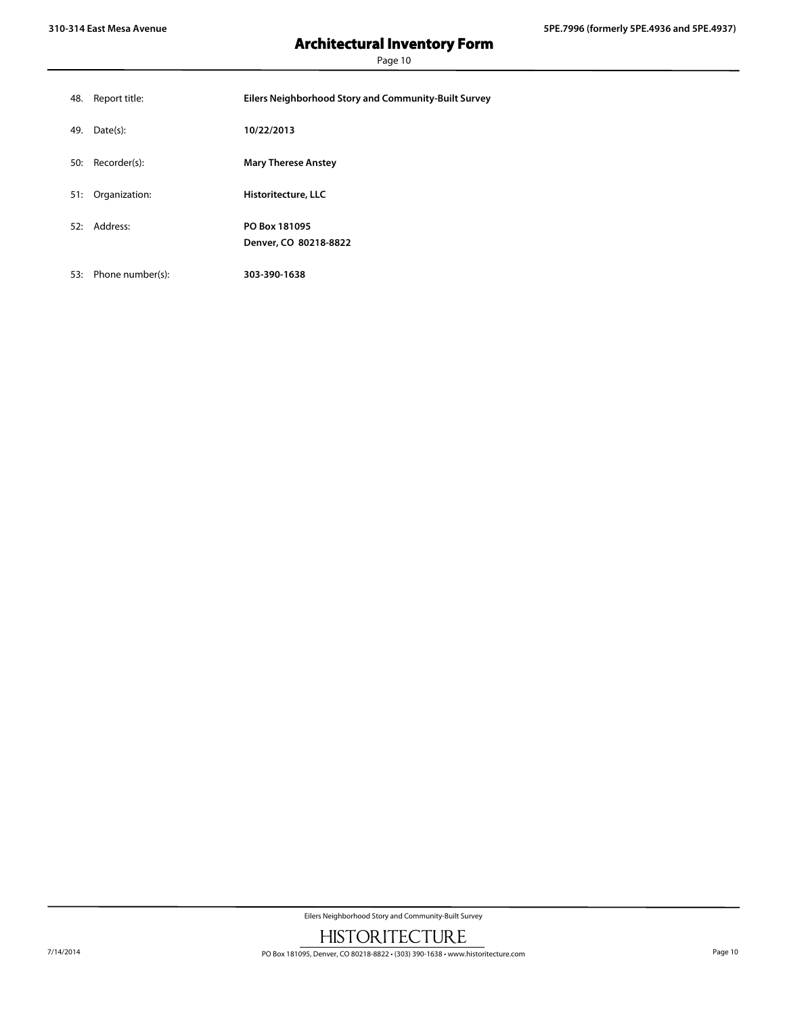Page 10

| 48. | Report title:        | Eilers Neighborhood Story and Community-Built Survey |
|-----|----------------------|------------------------------------------------------|
| 49. | Date(s):             | 10/22/2013                                           |
| 50: | Recorder(s):         | <b>Mary Therese Anstey</b>                           |
| 51: | Organization:        | Historitecture, LLC                                  |
|     | 52: Address:         | PO Box 181095<br>Denver, CO 80218-8822               |
|     | 53: Phone number(s): | 303-390-1638                                         |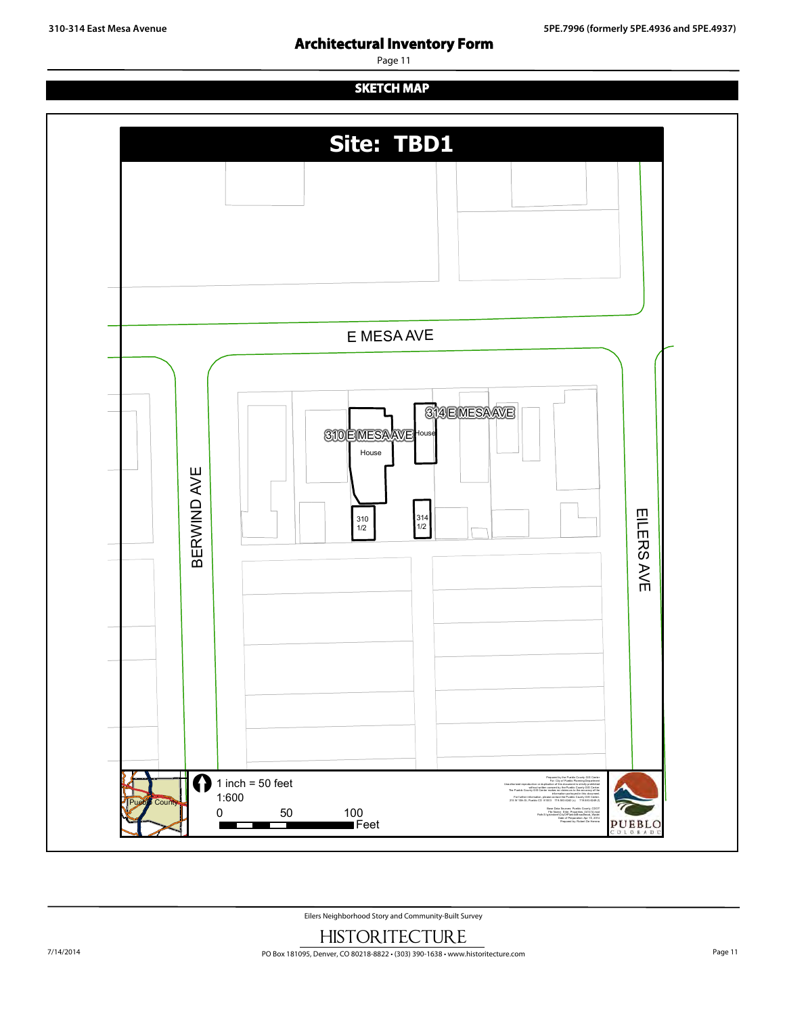**310-314 East Mesa Avenue 5PE.7996 (formerly 5PE.4936 and 5PE.4937)**

Page 11

**SKETCH MAP**

# **Site: TBD1** E MESA AVE **314 EMESAAVE** 310 EMESAAVE House House щ RWIND AV EILERS 314 1/2 310 1/2 щ B AV E  $\bigcap$  1 inch = 50 feet Prepared by the Pueblo County GIS Center For: City of Pueblo Planning Department Unauthorized reproduction or duplication of this document is strictly prohibited without written consent by the Pueblo County GIS Center. 1:600 The Pueblo County GIS Center makes no claims as to the accuracy of the information portrayed in this document. For further information, please contact the Pueblo County GIS Center. Pueblo County 215 W 10th St, Pueblo CO 81003 719.583.6240 (v) 719.583.6249 (f) 0 50 100 Base Data Sources: Pueblo County, CDOT File Name: Eiler\_Properties\_041414.mxd Path:S:\gis\robert\CityOfPueblo\Broadhead\_Wade\ ■Feet Date of Preparation: Apr 15, 2014 PUEBLO T r Prepared by: Robert De Herrera